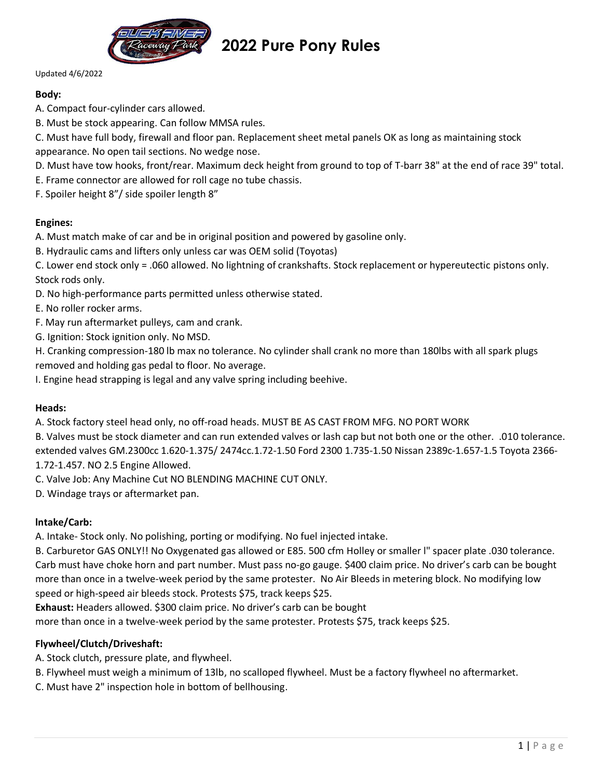

# **2022 Pure Pony Rules**

#### Updated 4/6/2022

# **Body:**

- A. Compact four-cylinder cars allowed.
- B. Must be stock appearing. Can follow MMSA rules.

C. Must have full body, firewall and floor pan. Replacement sheet metal panels OK as long as maintaining stock appearance. No open tail sections. No wedge nose.

D. Must have tow hooks, front/rear. Maximum deck height from ground to top of T-barr 38" at the end of race 39" total.

E. Frame connector are allowed for roll cage no tube chassis.

F. Spoiler height 8"/ side spoiler length 8"

# **Engines:**

- A. Must match make of car and be in original position and powered by gasoline only.
- B. Hydraulic cams and lifters only unless car was OEM solid (Toyotas)

C. Lower end stock only = .060 allowed. No lightning of crankshafts. Stock replacement or hypereutectic pistons only. Stock rods only.

- D. No high-performance parts permitted unless otherwise stated.
- E. No roller rocker arms.
- F. May run aftermarket pulleys, cam and crank.
- G. Ignition: Stock ignition only. No MSD.

H. Cranking compression-180 lb max no tolerance. No cylinder shall crank no more than 180lbs with all spark plugs removed and holding gas pedal to floor. No average.

I. Engine head strapping is legal and any valve spring including beehive.

## **Heads:**

A. Stock factory steel head only, no off-road heads. MUST BE AS CAST FROM MFG. NO PORT WORK

B. Valves must be stock diameter and can run extended valves or lash cap but not both one or the other. .010 tolerance. extended valves GM.2300cc 1.620-1.375/ 2474cc.1.72-1.50 Ford 2300 1.735-1.50 Nissan 2389c-1.657-1.5 Toyota 2366- 1.72-1.457. NO 2.5 Engine Allowed.

C. Valve Job: Any Machine Cut NO BLENDING MACHINE CUT ONLY.

D. Windage trays or aftermarket pan.

## **lntake/Carb:**

A. Intake- Stock only. No polishing, porting or modifying. No fuel injected intake.

B. Carburetor GAS ONLY!! No Oxygenated gas allowed or E85. 500 cfm Holley or smaller l" spacer plate .030 tolerance. Carb must have choke horn and part number. Must pass no-go gauge. \$400 claim price. No driver's carb can be bought more than once in a twelve-week period by the same protester. No Air Bleeds in metering block. No modifying low speed or high-speed air bleeds stock. Protests \$75, track keeps \$25.

**Exhaust:** Headers allowed. \$300 claim price. No driver's carb can be bought

more than once in a twelve-week period by the same protester. Protests \$75, track keeps \$25.

## **Flywheel/Clutch/Driveshaft:**

- A. Stock clutch, pressure plate, and flywheel.
- B. Flywheel must weigh a minimum of 13lb, no scalloped flywheel. Must be a factory flywheel no aftermarket.
- C. Must have 2" inspection hole in bottom of bellhousing.